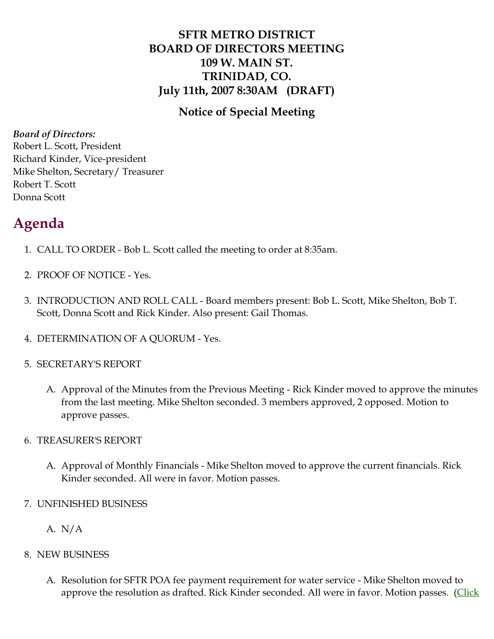## **SFTR METRO DISTRICT BOARD OF DIRECTORS MEETING 109 W. MAIN ST. TRINIDAD, CO. July 11th, 2007 8:30AM (DRAFT)**

### **Notice of Special Meeting**

*Board of Directors:*

Robert L. Scott, President Richard Kinder, Vice-president Mike Shelton, Secretary/ Treasurer Robert T. Scott Donna Scott

# **Agenda**

- 1. CALL TO ORDER Bob L. Scott called the meeting to order at 8:35am.
- 2. PROOF OF NOTICE Yes.
- 3. INTRODUCTION AND ROLL CALL Board members present: Bob L. Scott, Mike Shelton, Bob T. Scott, Donna Scott and Rick Kinder. Also present: Gail Thomas.
- 4. DETERMINATION OF A QUORUM Yes.
- 5. SECRETARY'S REPORT
	- A. Approval of the Minutes from the Previous Meeting Rick Kinder moved to approve the minutes from the last meeting. Mike Shelton seconded. 3 members approved, 2 opposed. Motion to approve passes.
- 6. TREASURER'S REPORT
	- A. Approval of Monthly Financials Mike Shelton moved to approve the current financials. Rick Kinder seconded. All were in favor. Motion passes.
- 7. UNFINISHED BUSINESS
	- A.  $N/A$
- 8. NEW BUSINESS
	- A. Resolution for SFTR POA fee payment requirement for water service Mike Shelton moved to approve the resolution as drafted. Rick Kinder seconded. All were in favor. Motion passes. ([Click](http://santafetrailranch.com/minutes/metro_07-07-11_resolution.pdf)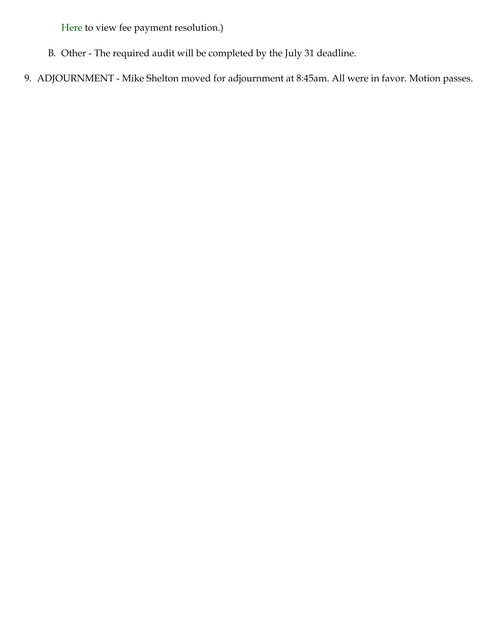[Here](http://santafetrailranch.com/minutes/metro_07-07-11_resolution.pdf) to view fee payment resolution.)

- B. Other The required audit will be completed by the July 31 deadline.
- 9. ADJOURNMENT Mike Shelton moved for adjournment at 8:45am. All were in favor. Motion passes.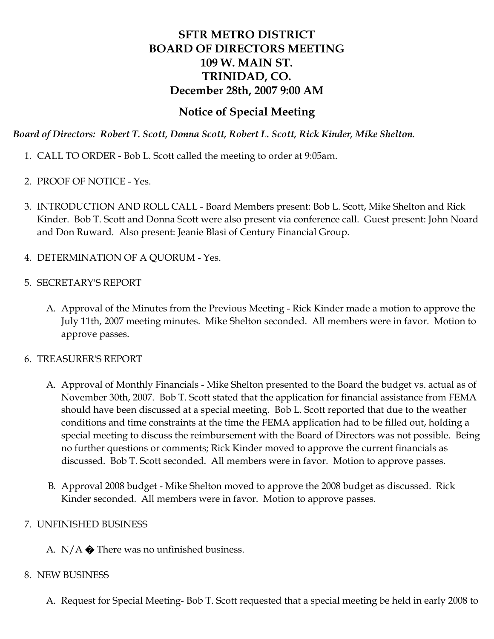## **SFTR METRO DISTRICT BOARD OF DIRECTORS MEETING 109 W. MAIN ST. TRINIDAD, CO. December 28th, 2007 9:00 AM**

#### **Notice of Special Meeting**

*Board of Directors: Robert T. Scott, Donna Scott, Robert L. Scott, Rick Kinder, Mike Shelton.*

- 1. CALL TO ORDER Bob L. Scott called the meeting to order at 9:05am.
- 2. PROOF OF NOTICE Yes.
- 3. INTRODUCTION AND ROLL CALL Board Members present: Bob L. Scott, Mike Shelton and Rick Kinder. Bob T. Scott and Donna Scott were also present via conference call. Guest present: John Noard and Don Ruward. Also present: Jeanie Blasi of Century Financial Group.
- 4. DETERMINATION OF A QUORUM Yes.
- 5. SECRETARY'S REPORT
	- A. Approval of the Minutes from the Previous Meeting Rick Kinder made a motion to approve the July 11th, 2007 meeting minutes. Mike Shelton seconded. All members were in favor. Motion to approve passes.
- 6. TREASURER'S REPORT
	- A. Approval of Monthly Financials Mike Shelton presented to the Board the budget vs. actual as of November 30th, 2007. Bob T. Scott stated that the application for financial assistance from FEMA should have been discussed at a special meeting. Bob L. Scott reported that due to the weather conditions and time constraints at the time the FEMA application had to be filled out, holding a special meeting to discuss the reimbursement with the Board of Directors was not possible. Being no further questions or comments; Rick Kinder moved to approve the current financials as discussed. Bob T. Scott seconded. All members were in favor. Motion to approve passes.
	- B. Approval 2008 budget Mike Shelton moved to approve the 2008 budget as discussed. Rick Kinder seconded. All members were in favor. Motion to approve passes.

#### 7. UNFINISHED BUSINESS

A.  $N/A$   $\bigcirc$  There was no unfinished business.

#### 8. NEW BUSINESS

A. Request for Special Meeting- Bob T. Scott requested that a special meeting be held in early 2008 to